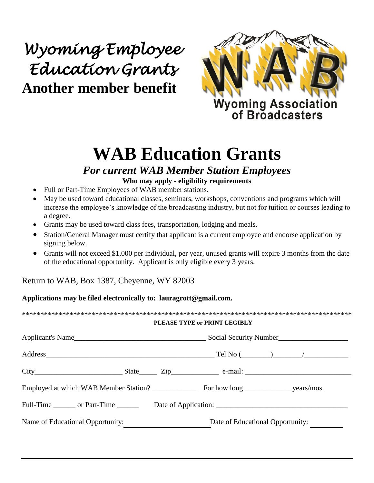## *Wyoming Employee Education Grants*  **Another member benefit**



Wyoming Association<br>of Broadcasters

# **WAB Education Grants**

#### *For current WAB Member Station Employees*

#### **Who may apply - eligibility requirements**

- Full or Part-Time Employees of WAB member stations.
- May be used toward educational classes, seminars, workshops, conventions and programs which will increase the employee's knowledge of the broadcasting industry, but not for tuition or courses leading to a degree.
- Grants may be used toward class fees, transportation, lodging and meals.
- Station/General Manager must certify that applicant is a current employee and endorse application by signing below.
- Grants will not exceed \$1,000 per individual, per year, unused grants will expire 3 months from the date of the educational opportunity. Applicant is only eligible every 3 years.

Return to WAB, Box 1387, Cheyenne, WY 82003

#### **Applications may be filed electronically to: lauragrott@gmail.com.**

\*\*\*\*\*\*\*\*\*\*\*\*\*\*\*\*\*\*\*\*\*\*\*\*\*\*\*\*\*\*\*\*\*\*\*\*\*\*\*\*\*\*\*\*\*\*\*\*\*\*\*\*\*\*\*\*\*\*\*\*\*\*\*\*\*\*\*\*\*\*\*\*\*\*\*\*\*\*\*\*\*\*\*\*\*\*\*\*\*\* **PLEASE TYPE or PRINT LEGIBLY** Applicant's Name\_\_\_\_\_\_\_\_\_\_\_\_\_\_\_\_\_\_\_\_\_\_\_\_\_\_\_\_\_\_\_\_\_\_\_\_ Social Security Number\_\_\_\_\_\_\_\_\_\_\_\_\_\_\_\_\_\_\_ Address\_\_\_\_\_\_\_\_\_\_\_\_\_\_\_\_\_\_\_\_\_\_\_\_\_\_\_\_\_\_\_\_\_\_\_\_\_\_\_\_\_\_\_\_\_\_ Tel No (\_\_\_\_\_\_\_\_)\_\_\_\_\_\_\_\_/\_\_\_\_\_\_\_\_\_\_\_\_  $City$   $City$   $State$   $Zip$   $=$   $=$   $=$   $=$   $=$  Employed at which WAB Member Station? \_\_\_\_\_\_\_\_\_\_\_\_ For how long \_\_\_\_\_\_\_\_\_\_\_\_\_years/mos. Full-Time \_\_\_\_\_\_ or Part-Time \_\_\_\_\_\_\_ Date of Application: \_\_\_\_\_\_\_\_\_\_\_\_\_\_\_\_\_\_\_\_\_ Name of Educational Opportunity: Date of Educational Opportunity: